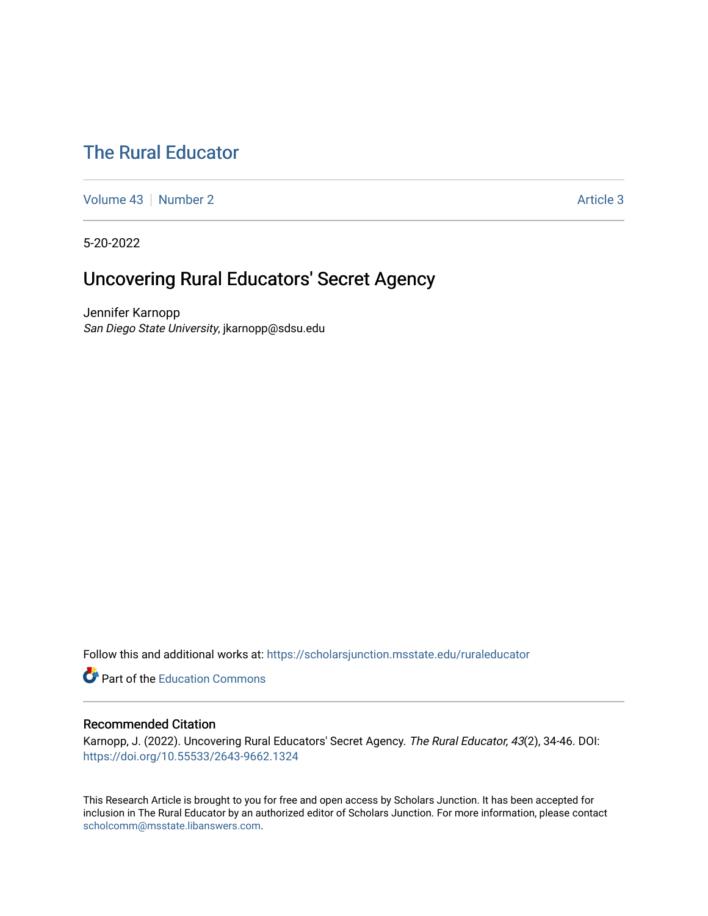# [The Rural Educator](https://scholarsjunction.msstate.edu/ruraleducator)

[Volume 43](https://scholarsjunction.msstate.edu/ruraleducator/vol43) [Number 2](https://scholarsjunction.msstate.edu/ruraleducator/vol43/iss2) Article 3

5-20-2022

# Uncovering Rural Educators' Secret Agency

Jennifer Karnopp San Diego State University, jkarnopp@sdsu.edu

Follow this and additional works at: [https://scholarsjunction.msstate.edu/ruraleducator](https://scholarsjunction.msstate.edu/ruraleducator?utm_source=scholarsjunction.msstate.edu%2Fruraleducator%2Fvol43%2Fiss2%2F3&utm_medium=PDF&utm_campaign=PDFCoverPages)

**Part of the [Education Commons](https://network.bepress.com/hgg/discipline/784?utm_source=scholarsjunction.msstate.edu%2Fruraleducator%2Fvol43%2Fiss2%2F3&utm_medium=PDF&utm_campaign=PDFCoverPages)** 

# Recommended Citation

Karnopp, J. (2022). Uncovering Rural Educators' Secret Agency. The Rural Educator, 43(2), 34-46. DOI: <https://doi.org/10.55533/2643-9662.1324>

This Research Article is brought to you for free and open access by Scholars Junction. It has been accepted for inclusion in The Rural Educator by an authorized editor of Scholars Junction. For more information, please contact [scholcomm@msstate.libanswers.com.](mailto:scholcomm@msstate.libanswers.com)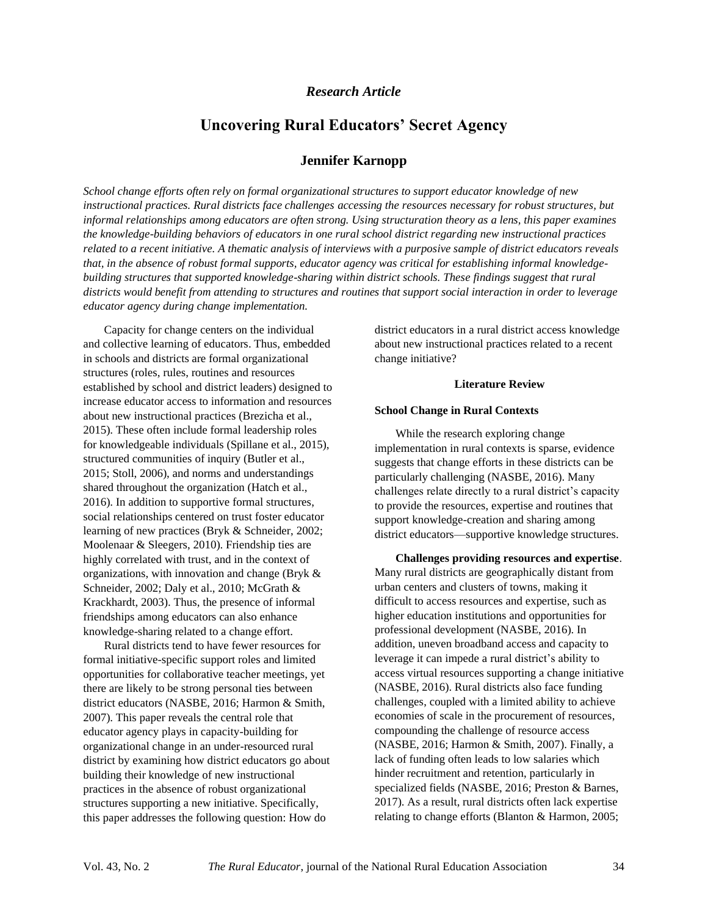## *Research Article*

# **Uncovering Rural Educators' Secret Agency**

# **Jennifer Karnopp**

*School change efforts often rely on formal organizational structures to support educator knowledge of new instructional practices. Rural districts face challenges accessing the resources necessary for robust structures, but informal relationships among educators are often strong. Using structuration theory as a lens, this paper examines the knowledge-building behaviors of educators in one rural school district regarding new instructional practices related to a recent initiative. A thematic analysis of interviews with a purposive sample of district educators reveals that, in the absence of robust formal supports, educator agency was critical for establishing informal knowledgebuilding structures that supported knowledge-sharing within district schools. These findings suggest that rural districts would benefit from attending to structures and routines that support social interaction in order to leverage educator agency during change implementation.*

Capacity for change centers on the individual and collective learning of educators. Thus, embedded in schools and districts are formal organizational structures (roles, rules, routines and resources established by school and district leaders) designed to increase educator access to information and resources about new instructional practices (Brezicha et al., 2015). These often include formal leadership roles for knowledgeable individuals (Spillane et al., 2015), structured communities of inquiry (Butler et al., 2015; Stoll, 2006), and norms and understandings shared throughout the organization (Hatch et al., 2016). In addition to supportive formal structures, social relationships centered on trust foster educator learning of new practices (Bryk & Schneider, 2002; Moolenaar & Sleegers, 2010). Friendship ties are highly correlated with trust, and in the context of organizations, with innovation and change (Bryk & Schneider, 2002; Daly et al., 2010; McGrath & Krackhardt, 2003). Thus, the presence of informal friendships among educators can also enhance knowledge-sharing related to a change effort.

Rural districts tend to have fewer resources for formal initiative-specific support roles and limited opportunities for collaborative teacher meetings, yet there are likely to be strong personal ties between district educators (NASBE, 2016; Harmon & Smith, 2007). This paper reveals the central role that educator agency plays in capacity-building for organizational change in an under-resourced rural district by examining how district educators go about building their knowledge of new instructional practices in the absence of robust organizational structures supporting a new initiative. Specifically, this paper addresses the following question: How do

district educators in a rural district access knowledge about new instructional practices related to a recent change initiative?

#### **Literature Review**

#### **School Change in Rural Contexts**

While the research exploring change implementation in rural contexts is sparse, evidence suggests that change efforts in these districts can be particularly challenging (NASBE, 2016). Many challenges relate directly to a rural district's capacity to provide the resources, expertise and routines that support knowledge-creation and sharing among district educators—supportive knowledge structures.

**Challenges providing resources and expertise**. Many rural districts are geographically distant from urban centers and clusters of towns, making it difficult to access resources and expertise, such as higher education institutions and opportunities for professional development (NASBE, 2016). In addition, uneven broadband access and capacity to leverage it can impede a rural district's ability to access virtual resources supporting a change initiative (NASBE, 2016). Rural districts also face funding challenges, coupled with a limited ability to achieve economies of scale in the procurement of resources, compounding the challenge of resource access (NASBE, 2016; Harmon & Smith, 2007). Finally, a lack of funding often leads to low salaries which hinder recruitment and retention, particularly in specialized fields (NASBE, 2016; Preston & Barnes, 2017). As a result, rural districts often lack expertise relating to change efforts (Blanton & Harmon, 2005;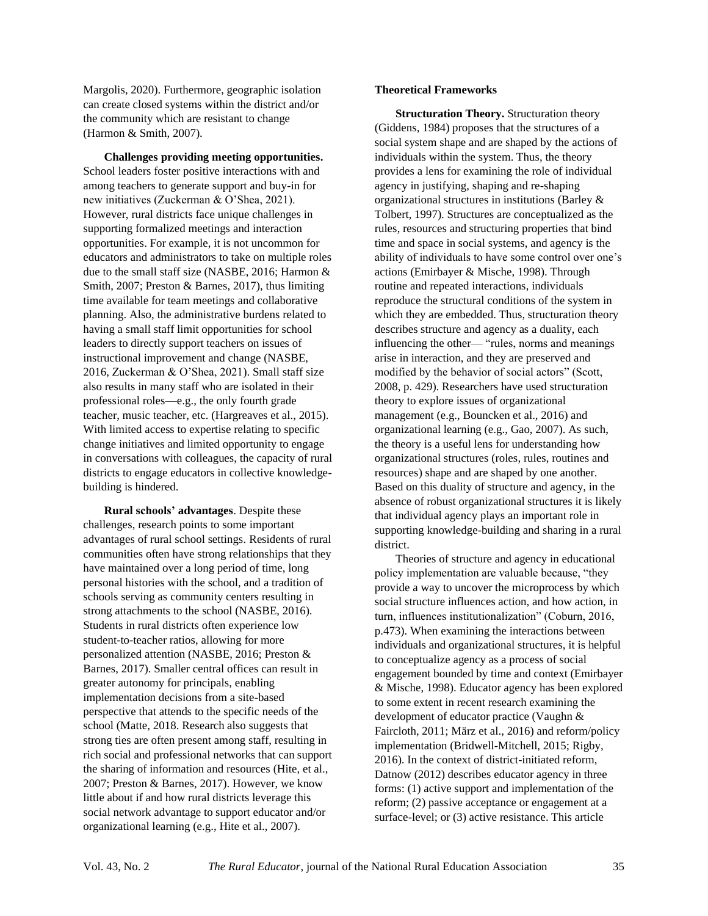Margolis, 2020). Furthermore, geographic isolation can create closed systems within the district and/or the community which are resistant to change (Harmon & Smith, 2007).

**Challenges providing meeting opportunities.**  School leaders foster positive interactions with and among teachers to generate support and buy-in for new initiatives (Zuckerman & O'Shea, 2021). However, rural districts face unique challenges in supporting formalized meetings and interaction opportunities. For example, it is not uncommon for educators and administrators to take on multiple roles due to the small staff size (NASBE, 2016; Harmon & Smith, 2007; Preston & Barnes, 2017), thus limiting time available for team meetings and collaborative planning. Also, the administrative burdens related to having a small staff limit opportunities for school leaders to directly support teachers on issues of instructional improvement and change (NASBE, 2016, Zuckerman & O'Shea, 2021). Small staff size also results in many staff who are isolated in their professional roles—e.g., the only fourth grade teacher, music teacher, etc. (Hargreaves et al., 2015). With limited access to expertise relating to specific change initiatives and limited opportunity to engage in conversations with colleagues, the capacity of rural districts to engage educators in collective knowledgebuilding is hindered.

**Rural schools' advantages**. Despite these challenges, research points to some important advantages of rural school settings. Residents of rural communities often have strong relationships that they have maintained over a long period of time, long personal histories with the school, and a tradition of schools serving as community centers resulting in strong attachments to the school (NASBE, 2016). Students in rural districts often experience low student-to-teacher ratios, allowing for more personalized attention (NASBE, 2016; Preston & Barnes, 2017). Smaller central offices can result in greater autonomy for principals, enabling implementation decisions from a site-based perspective that attends to the specific needs of the school (Matte, 2018. Research also suggests that strong ties are often present among staff, resulting in rich social and professional networks that can support the sharing of information and resources (Hite, et al., 2007; Preston & Barnes, 2017). However, we know little about if and how rural districts leverage this social network advantage to support educator and/or organizational learning (e.g., Hite et al., 2007).

#### **Theoretical Frameworks**

**Structuration Theory.** Structuration theory (Giddens, 1984) proposes that the structures of a social system shape and are shaped by the actions of individuals within the system. Thus, the theory provides a lens for examining the role of individual agency in justifying, shaping and re-shaping organizational structures in institutions (Barley & Tolbert, 1997). Structures are conceptualized as the rules, resources and structuring properties that bind time and space in social systems, and agency is the ability of individuals to have some control over one's actions (Emirbayer & Mische, 1998). Through routine and repeated interactions, individuals reproduce the structural conditions of the system in which they are embedded. Thus, structuration theory describes structure and agency as a duality, each influencing the other— "rules, norms and meanings arise in interaction, and they are preserved and modified by the behavior of social actors" (Scott, 2008, p. 429). Researchers have used structuration theory to explore issues of organizational management (e.g., Bouncken et al., 2016) and organizational learning (e.g., Gao, 2007). As such, the theory is a useful lens for understanding how organizational structures (roles, rules, routines and resources) shape and are shaped by one another. Based on this duality of structure and agency, in the absence of robust organizational structures it is likely that individual agency plays an important role in supporting knowledge-building and sharing in a rural district.

Theories of structure and agency in educational policy implementation are valuable because, "they provide a way to uncover the microprocess by which social structure influences action, and how action, in turn, influences institutionalization" (Coburn, 2016, p.473). When examining the interactions between individuals and organizational structures, it is helpful to conceptualize agency as a process of social engagement bounded by time and context (Emirbayer & Mische, 1998). Educator agency has been explored to some extent in recent research examining the development of educator practice (Vaughn & Faircloth, 2011; März et al., 2016) and reform/policy implementation (Bridwell-Mitchell, 2015; Rigby, 2016). In the context of district-initiated reform, Datnow (2012) describes educator agency in three forms: (1) active support and implementation of the reform; (2) passive acceptance or engagement at a surface-level; or (3) active resistance. This article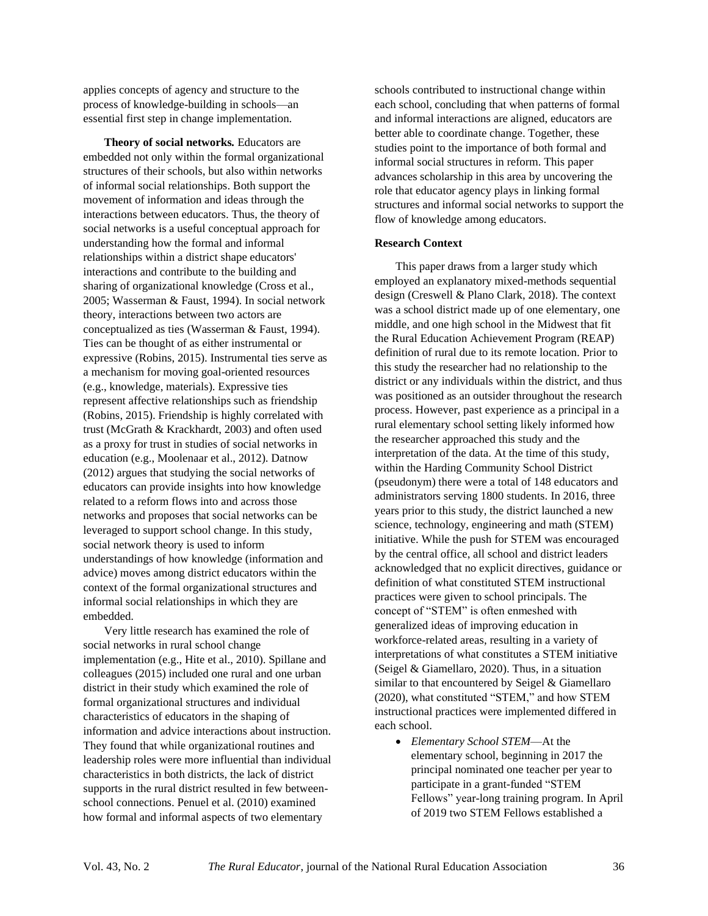applies concepts of agency and structure to the process of knowledge-building in schools—an essential first step in change implementation.

**Theory of social networks***.* Educators are embedded not only within the formal organizational structures of their schools, but also within networks of informal social relationships. Both support the movement of information and ideas through the interactions between educators. Thus, the theory of social networks is a useful conceptual approach for understanding how the formal and informal relationships within a district shape educators' interactions and contribute to the building and sharing of organizational knowledge (Cross et al., 2005; Wasserman & Faust, 1994). In social network theory, interactions between two actors are conceptualized as ties (Wasserman & Faust, 1994). Ties can be thought of as either instrumental or expressive (Robins, 2015). Instrumental ties serve as a mechanism for moving goal-oriented resources (e.g., knowledge, materials). Expressive ties represent affective relationships such as friendship (Robins, 2015). Friendship is highly correlated with trust (McGrath & Krackhardt, 2003) and often used as a proxy for trust in studies of social networks in education (e.g., Moolenaar et al., 2012). Datnow (2012) argues that studying the social networks of educators can provide insights into how knowledge related to a reform flows into and across those networks and proposes that social networks can be leveraged to support school change. In this study, social network theory is used to inform understandings of how knowledge (information and advice) moves among district educators within the context of the formal organizational structures and informal social relationships in which they are embedded.

Very little research has examined the role of social networks in rural school change implementation (e.g., Hite et al., 2010). Spillane and colleagues (2015) included one rural and one urban district in their study which examined the role of formal organizational structures and individual characteristics of educators in the shaping of information and advice interactions about instruction. They found that while organizational routines and leadership roles were more influential than individual characteristics in both districts, the lack of district supports in the rural district resulted in few betweenschool connections. Penuel et al. (2010) examined how formal and informal aspects of two elementary

schools contributed to instructional change within each school, concluding that when patterns of formal and informal interactions are aligned, educators are better able to coordinate change. Together, these studies point to the importance of both formal and informal social structures in reform. This paper advances scholarship in this area by uncovering the role that educator agency plays in linking formal structures and informal social networks to support the flow of knowledge among educators.

#### **Research Context**

This paper draws from a larger study which employed an explanatory mixed-methods sequential design (Creswell & Plano Clark, 2018). The context was a school district made up of one elementary, one middle, and one high school in the Midwest that fit the Rural Education Achievement Program (REAP) definition of rural due to its remote location. Prior to this study the researcher had no relationship to the district or any individuals within the district, and thus was positioned as an outsider throughout the research process. However, past experience as a principal in a rural elementary school setting likely informed how the researcher approached this study and the interpretation of the data. At the time of this study, within the Harding Community School District (pseudonym) there were a total of 148 educators and administrators serving 1800 students. In 2016, three years prior to this study, the district launched a new science, technology, engineering and math (STEM) initiative. While the push for STEM was encouraged by the central office, all school and district leaders acknowledged that no explicit directives, guidance or definition of what constituted STEM instructional practices were given to school principals. The concept of "STEM" is often enmeshed with generalized ideas of improving education in workforce-related areas, resulting in a variety of interpretations of what constitutes a STEM initiative (Seigel & Giamellaro, 2020). Thus, in a situation similar to that encountered by Seigel & Giamellaro (2020), what constituted "STEM," and how STEM instructional practices were implemented differed in each school.

• *Elementary School STEM*—At the elementary school, beginning in 2017 the principal nominated one teacher per year to participate in a grant-funded "STEM Fellows" year-long training program. In April of 2019 two STEM Fellows established a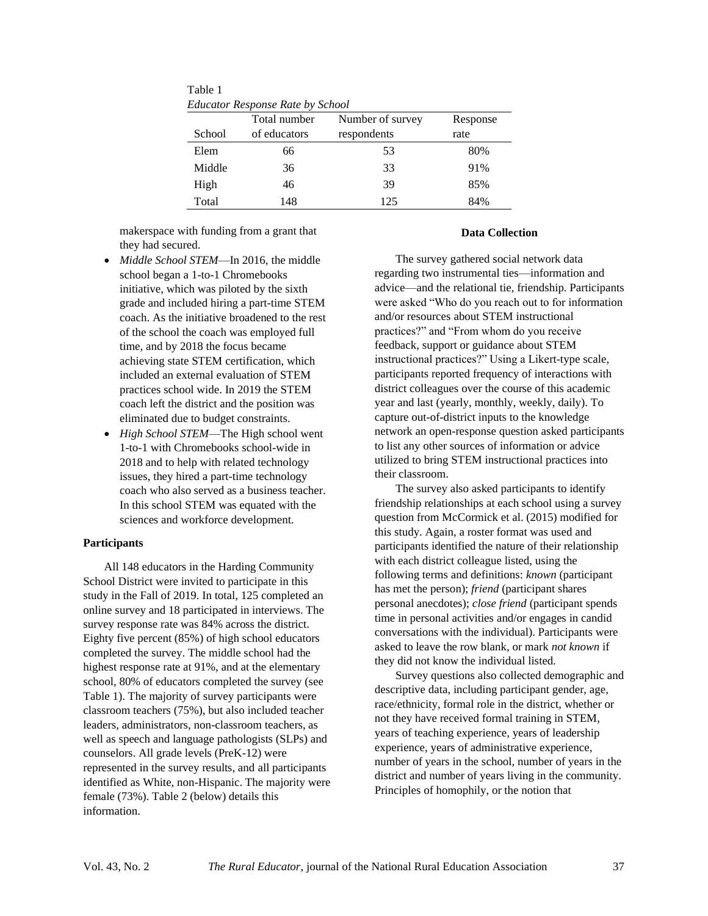Table 1 *Educator Response Rate by School*

| Laucator Response Rate by School |              |                  |          |  |  |  |  |
|----------------------------------|--------------|------------------|----------|--|--|--|--|
|                                  | Total number | Number of survey | Response |  |  |  |  |
| School                           | of educators | respondents      | rate     |  |  |  |  |
| Elem                             | 66           | 53               | 80%      |  |  |  |  |
| Middle                           | 36           | 33               | 91%      |  |  |  |  |
| High                             | 46           | 39               | 85%      |  |  |  |  |
| Total                            | 148          | 125              | 84%      |  |  |  |  |

makerspace with funding from a grant that they had secured.

- *Middle School STEM*—In 2016, the middle school began a 1-to-1 Chromebooks initiative, which was piloted by the sixth grade and included hiring a part-time STEM coach. As the initiative broadened to the rest of the school the coach was employed full time, and by 2018 the focus became achieving state STEM certification, which included an external evaluation of STEM practices school wide. In 2019 the STEM coach left the district and the position was eliminated due to budget constraints.
- *High School STEM*—The High school went 1-to-1 with Chromebooks school-wide in 2018 and to help with related technology issues, they hired a part-time technology coach who also served as a business teacher. In this school STEM was equated with the sciences and workforce development.

### **Participants**

All 148 educators in the Harding Community School District were invited to participate in this study in the Fall of 2019. In total, 125 completed an online survey and 18 participated in interviews. The survey response rate was 84% across the district. Eighty five percent (85%) of high school educators completed the survey. The middle school had the highest response rate at 91%, and at the elementary school, 80% of educators completed the survey (see Table 1). The majority of survey participants were classroom teachers (75%), but also included teacher leaders, administrators, non-classroom teachers, as well as speech and language pathologists (SLPs) and counselors. All grade levels (PreK-12) were represented in the survey results, and all participants identified as White, non-Hispanic. The majority were female (73%). Table 2 (below) details this information.

#### **Data Collection**

The survey gathered social network data regarding two instrumental ties—information and advice—and the relational tie, friendship. Participants were asked "Who do you reach out to for information and/or resources about STEM instructional practices?" and "From whom do you receive feedback, support or guidance about STEM instructional practices?" Using a Likert-type scale, participants reported frequency of interactions with district colleagues over the course of this academic year and last (yearly, monthly, weekly, daily). To capture out-of-district inputs to the knowledge network an open-response question asked participants to list any other sources of information or advice utilized to bring STEM instructional practices into their classroom.

The survey also asked participants to identify friendship relationships at each school using a survey question from McCormick et al. (2015) modified for this study. Again, a roster format was used and participants identified the nature of their relationship with each district colleague listed, using the following terms and definitions: *known* (participant has met the person); *friend* (participant shares personal anecdotes); *close friend* (participant spends time in personal activities and/or engages in candid conversations with the individual). Participants were asked to leave the row blank, or mark *not known* if they did not know the individual listed*.*

Survey questions also collected demographic and descriptive data, including participant gender, age, race/ethnicity, formal role in the district, whether or not they have received formal training in STEM, years of teaching experience, years of leadership experience, years of administrative experience, number of years in the school, number of years in the district and number of years living in the community. Principles of homophily, or the notion that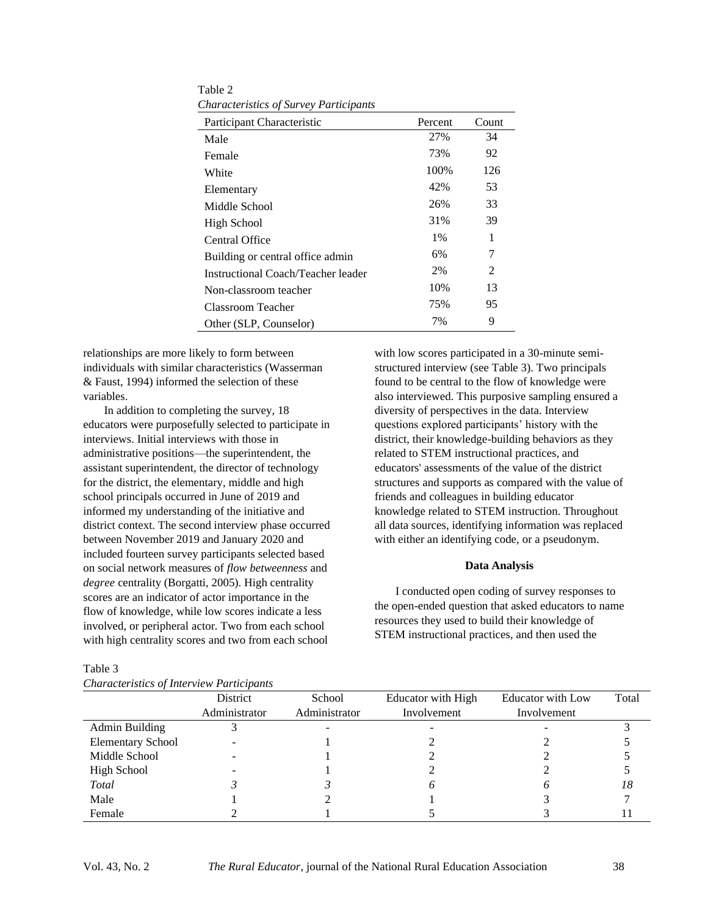| Participant Characteristic         | Percent | Count |
|------------------------------------|---------|-------|
| Male                               | 27%     | 34    |
| Female                             | 73%     | 92    |
| White                              | 100\%   | 126   |
| Elementary                         | 42%     | 53    |
| Middle School                      | 26%     | 33    |
| High School                        | 31%     | 39    |
| Central Office                     | $1\%$   | 1     |
| Building or central office admin   | 6%      | 7     |
| Instructional Coach/Teacher leader | 2%      | 2     |
| Non-classroom teacher              | 10%     | 13    |
| Classroom Teacher                  | 75%     | 95    |
| Other (SLP, Counselor)             | 7%      | 9     |

Table 2 *Characteristics of Survey Participants*

relationships are more likely to form between individuals with similar characteristics (Wasserman & Faust, 1994) informed the selection of these variables.

In addition to completing the survey, 18 educators were purposefully selected to participate in interviews. Initial interviews with those in administrative positions—the superintendent, the assistant superintendent, the director of technology for the district, the elementary, middle and high school principals occurred in June of 2019 and informed my understanding of the initiative and district context. The second interview phase occurred between November 2019 and January 2020 and included fourteen survey participants selected based on social network measures of *flow betweenness* and *degree* centrality (Borgatti, 2005). High centrality scores are an indicator of actor importance in the flow of knowledge, while low scores indicate a less involved, or peripheral actor. Two from each school with high centrality scores and two from each school

with low scores participated in a 30-minute semistructured interview (see Table 3). Two principals found to be central to the flow of knowledge were also interviewed. This purposive sampling ensured a diversity of perspectives in the data. Interview questions explored participants' history with the district, their knowledge-building behaviors as they related to STEM instructional practices, and educators' assessments of the value of the district structures and supports as compared with the value of friends and colleagues in building educator knowledge related to STEM instruction. Throughout all data sources, identifying information was replaced with either an identifying code, or a pseudonym.

#### **Data Analysis**

I conducted open coding of survey responses to the open-ended question that asked educators to name resources they used to build their knowledge of STEM instructional practices, and then used the

| Characteristics of Interview Participants |               |               |                    |                   |       |  |  |  |  |
|-------------------------------------------|---------------|---------------|--------------------|-------------------|-------|--|--|--|--|
|                                           | District      | School        | Educator with High | Educator with Low | Total |  |  |  |  |
|                                           | Administrator | Administrator | Involvement        | Involvement       |       |  |  |  |  |
| Admin Building                            |               |               |                    |                   |       |  |  |  |  |
| <b>Elementary School</b>                  |               |               |                    |                   |       |  |  |  |  |
| Middle School                             |               |               |                    |                   |       |  |  |  |  |
| High School                               |               |               |                    |                   |       |  |  |  |  |
| Total                                     |               |               |                    |                   | 18    |  |  |  |  |
| Male                                      |               |               |                    |                   |       |  |  |  |  |
| Female                                    |               |               |                    |                   |       |  |  |  |  |

Table 3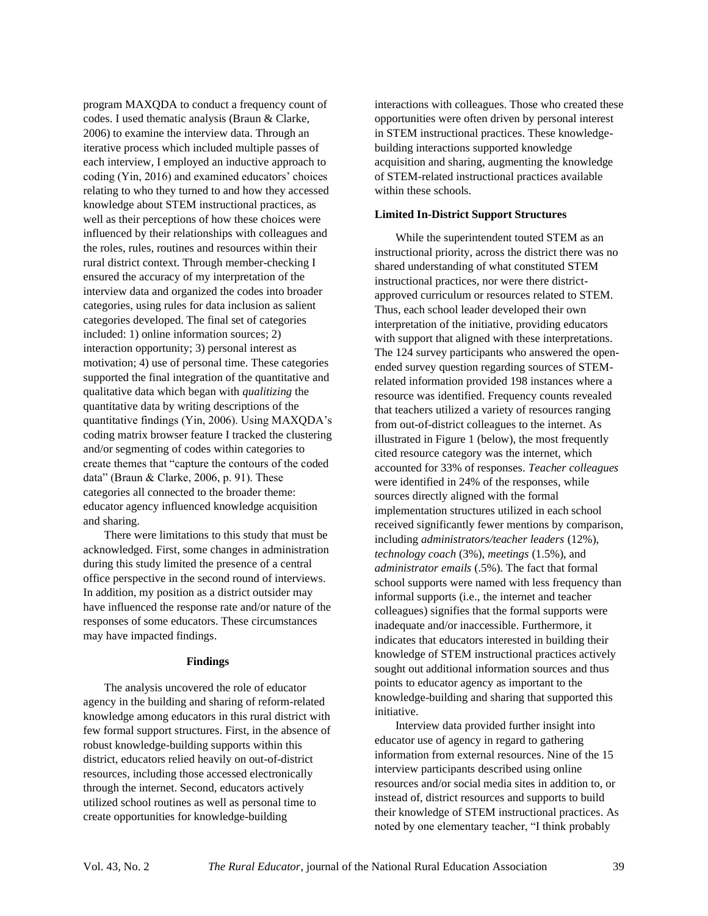program MAXQDA to conduct a frequency count of codes. I used thematic analysis (Braun & Clarke, 2006) to examine the interview data. Through an iterative process which included multiple passes of each interview, I employed an inductive approach to coding (Yin, 2016) and examined educators' choices relating to who they turned to and how they accessed knowledge about STEM instructional practices, as well as their perceptions of how these choices were influenced by their relationships with colleagues and the roles, rules, routines and resources within their rural district context. Through member-checking I ensured the accuracy of my interpretation of the interview data and organized the codes into broader categories, using rules for data inclusion as salient categories developed. The final set of categories included: 1) online information sources; 2) interaction opportunity; 3) personal interest as motivation; 4) use of personal time. These categories supported the final integration of the quantitative and qualitative data which began with *qualitizing* the quantitative data by writing descriptions of the quantitative findings (Yin, 2006). Using MAXQDA's coding matrix browser feature I tracked the clustering and/or segmenting of codes within categories to create themes that "capture the contours of the coded data" (Braun & Clarke, 2006, p. 91). These categories all connected to the broader theme: educator agency influenced knowledge acquisition and sharing.

There were limitations to this study that must be acknowledged. First, some changes in administration during this study limited the presence of a central office perspective in the second round of interviews. In addition, my position as a district outsider may have influenced the response rate and/or nature of the responses of some educators. These circumstances may have impacted findings.

#### **Findings**

The analysis uncovered the role of educator agency in the building and sharing of reform-related knowledge among educators in this rural district with few formal support structures. First, in the absence of robust knowledge-building supports within this district, educators relied heavily on out-of-district resources, including those accessed electronically through the internet. Second, educators actively utilized school routines as well as personal time to create opportunities for knowledge-building

interactions with colleagues. Those who created these opportunities were often driven by personal interest in STEM instructional practices. These knowledgebuilding interactions supported knowledge acquisition and sharing, augmenting the knowledge of STEM-related instructional practices available within these schools.

#### **Limited In-District Support Structures**

While the superintendent touted STEM as an instructional priority, across the district there was no shared understanding of what constituted STEM instructional practices, nor were there districtapproved curriculum or resources related to STEM. Thus, each school leader developed their own interpretation of the initiative, providing educators with support that aligned with these interpretations. The 124 survey participants who answered the openended survey question regarding sources of STEMrelated information provided 198 instances where a resource was identified. Frequency counts revealed that teachers utilized a variety of resources ranging from out-of-district colleagues to the internet. As illustrated in Figure 1 (below), the most frequently cited resource category was the internet, which accounted for 33% of responses. *Teacher colleagues* were identified in 24% of the responses, while sources directly aligned with the formal implementation structures utilized in each school received significantly fewer mentions by comparison, including *administrators/teacher leaders* (12%), *technology coach* (3%), *meetings* (1.5%), and *administrator emails* (.5%). The fact that formal school supports were named with less frequency than informal supports (i.e., the internet and teacher colleagues) signifies that the formal supports were inadequate and/or inaccessible. Furthermore, it indicates that educators interested in building their knowledge of STEM instructional practices actively sought out additional information sources and thus points to educator agency as important to the knowledge-building and sharing that supported this initiative.

Interview data provided further insight into educator use of agency in regard to gathering information from external resources. Nine of the 15 interview participants described using online resources and/or social media sites in addition to, or instead of, district resources and supports to build their knowledge of STEM instructional practices. As noted by one elementary teacher, "I think probably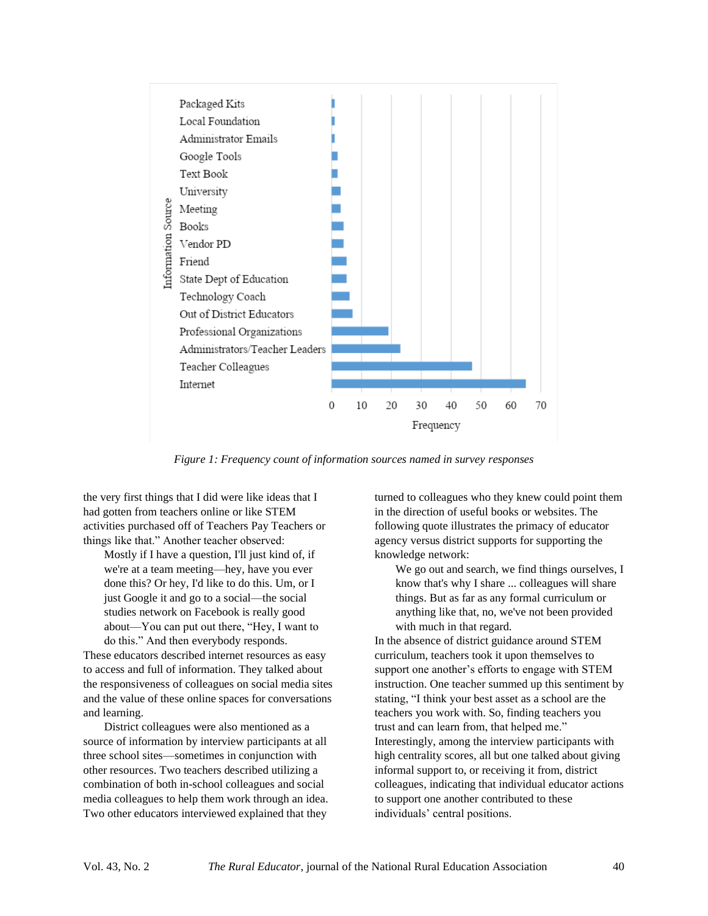

*Figure 1: Frequency count of information sources named in survey responses*

the very first things that I did were like ideas that I had gotten from teachers online or like STEM activities purchased off of Teachers Pay Teachers or things like that." Another teacher observed:

Mostly if I have a question, I'll just kind of, if we're at a team meeting—hey, have you ever done this? Or hey, I'd like to do this. Um, or I just Google it and go to a social—the social studies network on Facebook is really good about—You can put out there, "Hey, I want to do this." And then everybody responds.

These educators described internet resources as easy to access and full of information. They talked about the responsiveness of colleagues on social media sites and the value of these online spaces for conversations and learning.

District colleagues were also mentioned as a source of information by interview participants at all three school sites—sometimes in conjunction with other resources. Two teachers described utilizing a combination of both in-school colleagues and social media colleagues to help them work through an idea. Two other educators interviewed explained that they

turned to colleagues who they knew could point them in the direction of useful books or websites. The following quote illustrates the primacy of educator agency versus district supports for supporting the knowledge network:

We go out and search, we find things ourselves, I know that's why I share ... colleagues will share things. But as far as any formal curriculum or anything like that, no, we've not been provided with much in that regard.

In the absence of district guidance around STEM curriculum, teachers took it upon themselves to support one another's efforts to engage with STEM instruction. One teacher summed up this sentiment by stating, "I think your best asset as a school are the teachers you work with. So, finding teachers you trust and can learn from, that helped me." Interestingly, among the interview participants with high centrality scores, all but one talked about giving informal support to, or receiving it from, district colleagues, indicating that individual educator actions to support one another contributed to these individuals' central positions.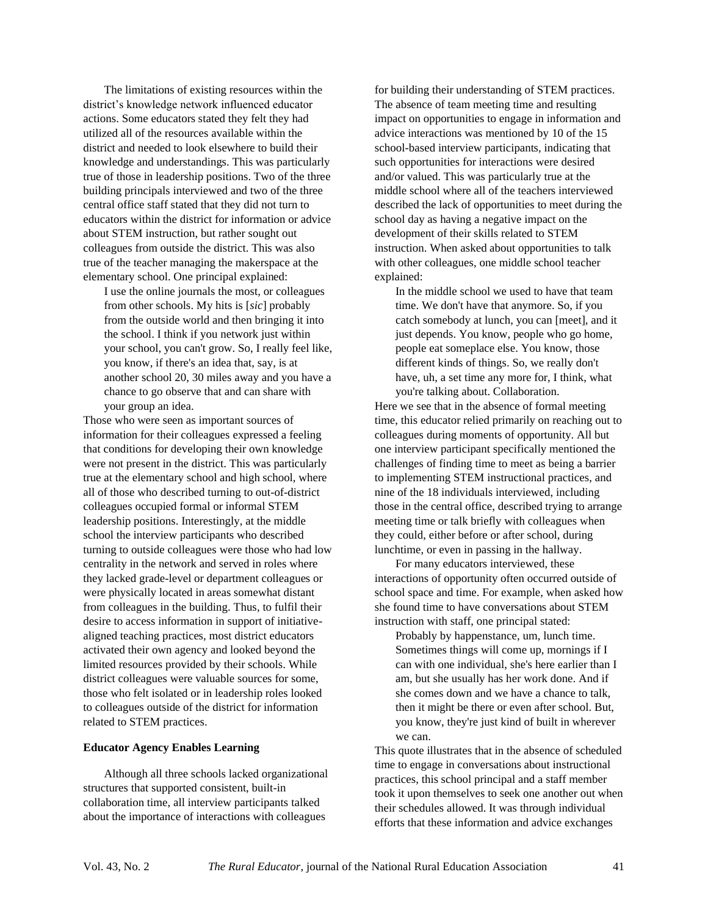The limitations of existing resources within the district's knowledge network influenced educator actions. Some educators stated they felt they had utilized all of the resources available within the district and needed to look elsewhere to build their knowledge and understandings. This was particularly true of those in leadership positions. Two of the three building principals interviewed and two of the three central office staff stated that they did not turn to educators within the district for information or advice about STEM instruction, but rather sought out colleagues from outside the district. This was also true of the teacher managing the makerspace at the elementary school. One principal explained:

I use the online journals the most, or colleagues from other schools. My hits is [*sic*] probably from the outside world and then bringing it into the school. I think if you network just within your school, you can't grow. So, I really feel like, you know, if there's an idea that, say, is at another school 20, 30 miles away and you have a chance to go observe that and can share with your group an idea.

Those who were seen as important sources of information for their colleagues expressed a feeling that conditions for developing their own knowledge were not present in the district. This was particularly true at the elementary school and high school, where all of those who described turning to out-of-district colleagues occupied formal or informal STEM leadership positions. Interestingly, at the middle school the interview participants who described turning to outside colleagues were those who had low centrality in the network and served in roles where they lacked grade-level or department colleagues or were physically located in areas somewhat distant from colleagues in the building. Thus, to fulfil their desire to access information in support of initiativealigned teaching practices, most district educators activated their own agency and looked beyond the limited resources provided by their schools. While district colleagues were valuable sources for some, those who felt isolated or in leadership roles looked to colleagues outside of the district for information related to STEM practices.

#### **Educator Agency Enables Learning**

Although all three schools lacked organizational structures that supported consistent, built-in collaboration time, all interview participants talked about the importance of interactions with colleagues

for building their understanding of STEM practices. The absence of team meeting time and resulting impact on opportunities to engage in information and advice interactions was mentioned by 10 of the 15 school-based interview participants, indicating that such opportunities for interactions were desired and/or valued. This was particularly true at the middle school where all of the teachers interviewed described the lack of opportunities to meet during the school day as having a negative impact on the development of their skills related to STEM instruction. When asked about opportunities to talk with other colleagues, one middle school teacher explained:

In the middle school we used to have that team time. We don't have that anymore. So, if you catch somebody at lunch, you can [meet], and it just depends. You know, people who go home, people eat someplace else. You know, those different kinds of things. So, we really don't have, uh, a set time any more for, I think, what you're talking about. Collaboration.

Here we see that in the absence of formal meeting time, this educator relied primarily on reaching out to colleagues during moments of opportunity. All but one interview participant specifically mentioned the challenges of finding time to meet as being a barrier to implementing STEM instructional practices, and nine of the 18 individuals interviewed, including those in the central office, described trying to arrange meeting time or talk briefly with colleagues when they could, either before or after school, during lunchtime, or even in passing in the hallway.

For many educators interviewed, these interactions of opportunity often occurred outside of school space and time. For example, when asked how she found time to have conversations about STEM instruction with staff, one principal stated:

Probably by happenstance, um, lunch time. Sometimes things will come up, mornings if I can with one individual, she's here earlier than I am, but she usually has her work done. And if she comes down and we have a chance to talk, then it might be there or even after school. But, you know, they're just kind of built in wherever we can.

This quote illustrates that in the absence of scheduled time to engage in conversations about instructional practices, this school principal and a staff member took it upon themselves to seek one another out when their schedules allowed. It was through individual efforts that these information and advice exchanges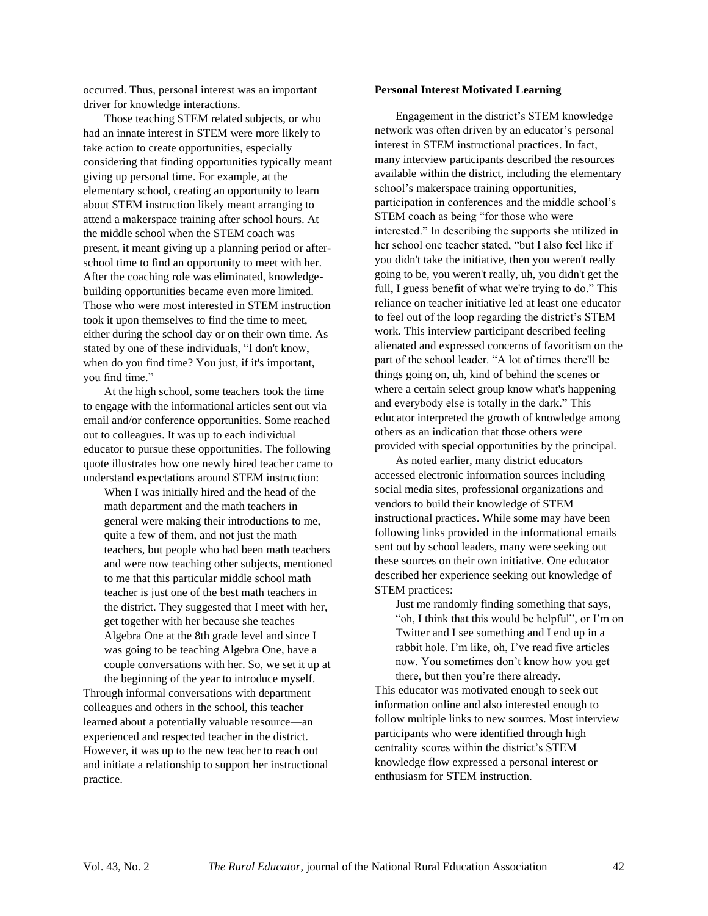occurred. Thus, personal interest was an important driver for knowledge interactions.

Those teaching STEM related subjects, or who had an innate interest in STEM were more likely to take action to create opportunities, especially considering that finding opportunities typically meant giving up personal time. For example, at the elementary school, creating an opportunity to learn about STEM instruction likely meant arranging to attend a makerspace training after school hours. At the middle school when the STEM coach was present, it meant giving up a planning period or afterschool time to find an opportunity to meet with her. After the coaching role was eliminated, knowledgebuilding opportunities became even more limited. Those who were most interested in STEM instruction took it upon themselves to find the time to meet, either during the school day or on their own time. As stated by one of these individuals, "I don't know, when do you find time? You just, if it's important, you find time."

At the high school, some teachers took the time to engage with the informational articles sent out via email and/or conference opportunities. Some reached out to colleagues. It was up to each individual educator to pursue these opportunities. The following quote illustrates how one newly hired teacher came to understand expectations around STEM instruction:

When I was initially hired and the head of the math department and the math teachers in general were making their introductions to me, quite a few of them, and not just the math teachers, but people who had been math teachers and were now teaching other subjects, mentioned to me that this particular middle school math teacher is just one of the best math teachers in the district. They suggested that I meet with her, get together with her because she teaches Algebra One at the 8th grade level and since I was going to be teaching Algebra One, have a couple conversations with her. So, we set it up at

the beginning of the year to introduce myself. Through informal conversations with department colleagues and others in the school, this teacher learned about a potentially valuable resource—an experienced and respected teacher in the district. However, it was up to the new teacher to reach out and initiate a relationship to support her instructional practice.

#### **Personal Interest Motivated Learning**

Engagement in the district's STEM knowledge network was often driven by an educator's personal interest in STEM instructional practices. In fact, many interview participants described the resources available within the district, including the elementary school's makerspace training opportunities, participation in conferences and the middle school's STEM coach as being "for those who were interested." In describing the supports she utilized in her school one teacher stated, "but I also feel like if you didn't take the initiative, then you weren't really going to be, you weren't really, uh, you didn't get the full, I guess benefit of what we're trying to do." This reliance on teacher initiative led at least one educator to feel out of the loop regarding the district's STEM work. This interview participant described feeling alienated and expressed concerns of favoritism on the part of the school leader. "A lot of times there'll be things going on, uh, kind of behind the scenes or where a certain select group know what's happening and everybody else is totally in the dark." This educator interpreted the growth of knowledge among others as an indication that those others were provided with special opportunities by the principal.

As noted earlier, many district educators accessed electronic information sources including social media sites, professional organizations and vendors to build their knowledge of STEM instructional practices. While some may have been following links provided in the informational emails sent out by school leaders, many were seeking out these sources on their own initiative. One educator described her experience seeking out knowledge of STEM practices:

Just me randomly finding something that says, "oh, I think that this would be helpful", or I'm on Twitter and I see something and I end up in a rabbit hole. I'm like, oh, I've read five articles now. You sometimes don't know how you get there, but then you're there already.

This educator was motivated enough to seek out information online and also interested enough to follow multiple links to new sources. Most interview participants who were identified through high centrality scores within the district's STEM knowledge flow expressed a personal interest or enthusiasm for STEM instruction.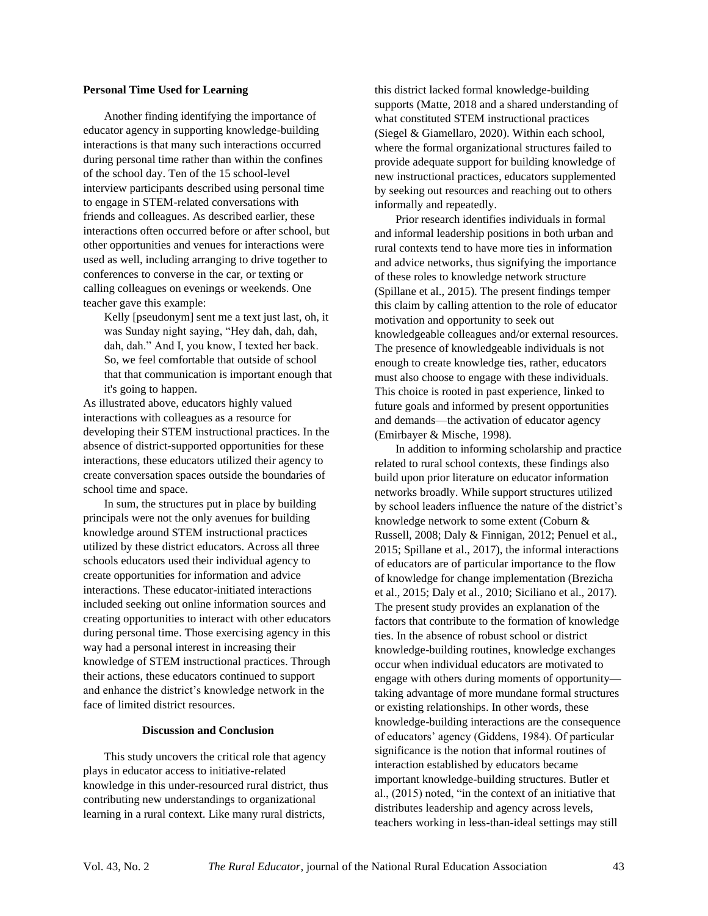#### **Personal Time Used for Learning**

Another finding identifying the importance of educator agency in supporting knowledge-building interactions is that many such interactions occurred during personal time rather than within the confines of the school day. Ten of the 15 school-level interview participants described using personal time to engage in STEM-related conversations with friends and colleagues. As described earlier, these interactions often occurred before or after school, but other opportunities and venues for interactions were used as well, including arranging to drive together to conferences to converse in the car, or texting or calling colleagues on evenings or weekends. One teacher gave this example:

Kelly [pseudonym] sent me a text just last, oh, it was Sunday night saying, "Hey dah, dah, dah, dah, dah." And I, you know, I texted her back. So, we feel comfortable that outside of school that that communication is important enough that it's going to happen.

As illustrated above, educators highly valued interactions with colleagues as a resource for developing their STEM instructional practices. In the absence of district-supported opportunities for these interactions, these educators utilized their agency to create conversation spaces outside the boundaries of school time and space.

In sum, the structures put in place by building principals were not the only avenues for building knowledge around STEM instructional practices utilized by these district educators. Across all three schools educators used their individual agency to create opportunities for information and advice interactions. These educator-initiated interactions included seeking out online information sources and creating opportunities to interact with other educators during personal time. Those exercising agency in this way had a personal interest in increasing their knowledge of STEM instructional practices. Through their actions, these educators continued to support and enhance the district's knowledge network in the face of limited district resources.

#### **Discussion and Conclusion**

This study uncovers the critical role that agency plays in educator access to initiative-related knowledge in this under-resourced rural district, thus contributing new understandings to organizational learning in a rural context. Like many rural districts,

this district lacked formal knowledge-building supports (Matte, 2018 and a shared understanding of what constituted STEM instructional practices (Siegel & Giamellaro, 2020). Within each school, where the formal organizational structures failed to provide adequate support for building knowledge of new instructional practices, educators supplemented by seeking out resources and reaching out to others informally and repeatedly.

Prior research identifies individuals in formal and informal leadership positions in both urban and rural contexts tend to have more ties in information and advice networks, thus signifying the importance of these roles to knowledge network structure (Spillane et al., 2015). The present findings temper this claim by calling attention to the role of educator motivation and opportunity to seek out knowledgeable colleagues and/or external resources. The presence of knowledgeable individuals is not enough to create knowledge ties, rather, educators must also choose to engage with these individuals. This choice is rooted in past experience, linked to future goals and informed by present opportunities and demands—the activation of educator agency (Emirbayer & Mische, 1998).

In addition to informing scholarship and practice related to rural school contexts, these findings also build upon prior literature on educator information networks broadly. While support structures utilized by school leaders influence the nature of the district's knowledge network to some extent (Coburn & Russell, 2008; Daly & Finnigan, 2012; Penuel et al., 2015; Spillane et al., 2017), the informal interactions of educators are of particular importance to the flow of knowledge for change implementation (Brezicha et al., 2015; Daly et al., 2010; Siciliano et al., 2017). The present study provides an explanation of the factors that contribute to the formation of knowledge ties. In the absence of robust school or district knowledge-building routines, knowledge exchanges occur when individual educators are motivated to engage with others during moments of opportunity taking advantage of more mundane formal structures or existing relationships. In other words, these knowledge-building interactions are the consequence of educators' agency (Giddens, 1984). Of particular significance is the notion that informal routines of interaction established by educators became important knowledge-building structures. Butler et al., (2015) noted, "in the context of an initiative that distributes leadership and agency across levels, teachers working in less-than-ideal settings may still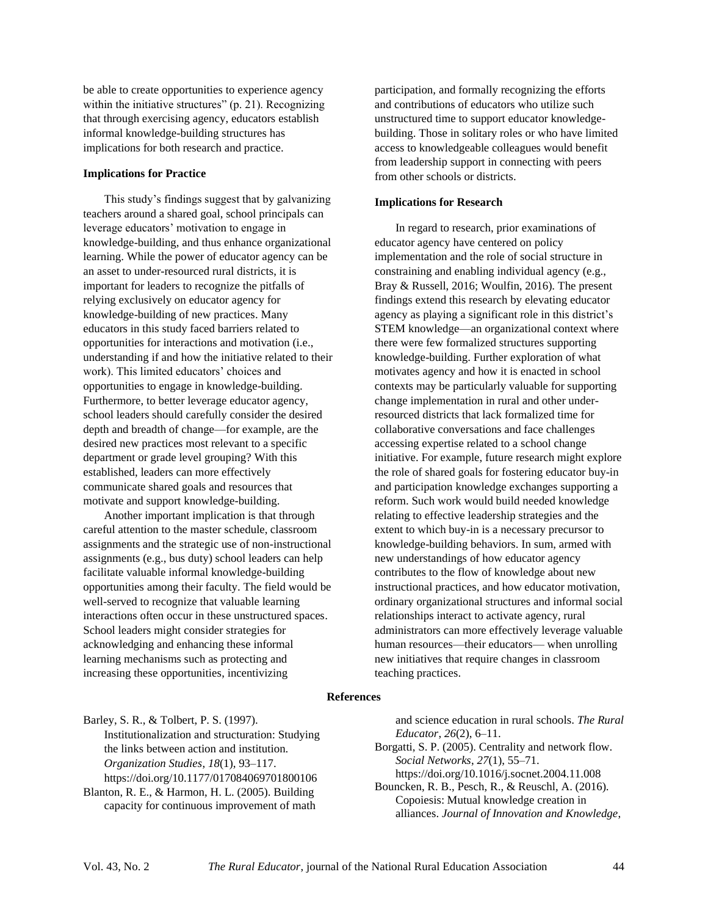be able to create opportunities to experience agency within the initiative structures" (p. 21). Recognizing that through exercising agency, educators establish informal knowledge-building structures has implications for both research and practice.

#### **Implications for Practice**

This study's findings suggest that by galvanizing teachers around a shared goal, school principals can leverage educators' motivation to engage in knowledge-building, and thus enhance organizational learning. While the power of educator agency can be an asset to under-resourced rural districts, it is important for leaders to recognize the pitfalls of relying exclusively on educator agency for knowledge-building of new practices. Many educators in this study faced barriers related to opportunities for interactions and motivation (i.e., understanding if and how the initiative related to their work). This limited educators' choices and opportunities to engage in knowledge-building. Furthermore, to better leverage educator agency, school leaders should carefully consider the desired depth and breadth of change—for example, are the desired new practices most relevant to a specific department or grade level grouping? With this established, leaders can more effectively communicate shared goals and resources that motivate and support knowledge-building.

Another important implication is that through careful attention to the master schedule, classroom assignments and the strategic use of non-instructional assignments (e.g., bus duty) school leaders can help facilitate valuable informal knowledge-building opportunities among their faculty. The field would be well-served to recognize that valuable learning interactions often occur in these unstructured spaces. School leaders might consider strategies for acknowledging and enhancing these informal learning mechanisms such as protecting and increasing these opportunities, incentivizing

participation, and formally recognizing the efforts and contributions of educators who utilize such unstructured time to support educator knowledgebuilding. Those in solitary roles or who have limited access to knowledgeable colleagues would benefit from leadership support in connecting with peers from other schools or districts.

#### **Implications for Research**

In regard to research, prior examinations of educator agency have centered on policy implementation and the role of social structure in constraining and enabling individual agency (e.g., Bray & Russell, 2016; Woulfin, 2016). The present findings extend this research by elevating educator agency as playing a significant role in this district's STEM knowledge—an organizational context where there were few formalized structures supporting knowledge-building. Further exploration of what motivates agency and how it is enacted in school contexts may be particularly valuable for supporting change implementation in rural and other underresourced districts that lack formalized time for collaborative conversations and face challenges accessing expertise related to a school change initiative. For example, future research might explore the role of shared goals for fostering educator buy-in and participation knowledge exchanges supporting a reform. Such work would build needed knowledge relating to effective leadership strategies and the extent to which buy-in is a necessary precursor to knowledge-building behaviors. In sum, armed with new understandings of how educator agency contributes to the flow of knowledge about new instructional practices, and how educator motivation, ordinary organizational structures and informal social relationships interact to activate agency, rural administrators can more effectively leverage valuable human resources—their educators— when unrolling new initiatives that require changes in classroom teaching practices.

#### **References**

Barley, S. R., & Tolbert, P. S. (1997). Institutionalization and structuration: Studying the links between action and institution. *Organization Studies*, *18*(1), 93–117. <https://doi.org/10.1177/017084069701800106>

Blanton, R. E., & Harmon, H. L. (2005). Building capacity for continuous improvement of math

and science education in rural schools. *The Rural Educator*, *26*(2), 6–11.

Borgatti, S. P. (2005). Centrality and network flow. *Social Networks*, *27*(1), 55–71. https://doi.org/10.1016/j.socnet.2004.11.008

Bouncken, R. B., Pesch, R., & Reuschl, A. (2016). Copoiesis: Mutual knowledge creation in alliances. *Journal of Innovation and Knowledge*,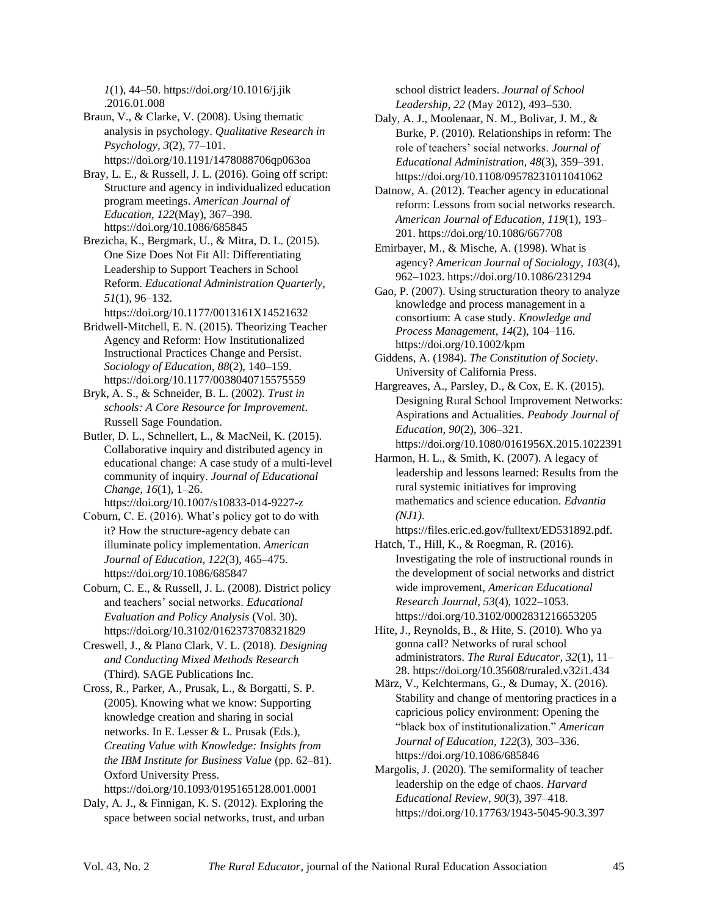*1*(1), 44–50. https://doi.org/10.1016/j.jik .2016.01.008

Braun, V., & Clarke, V. (2008). Using thematic analysis in psychology. *Qualitative Research in Psychology, 3*(2), 77–101. https://doi.org[/10.1191/1478088706qp063oa](https://doi.org/10.1191/1478088706qp063oa)

Bray, L. E., & Russell, J. L. (2016). Going off script: Structure and agency in individualized education program meetings. *American Journal of Education*, *122*(May), 367–398. <https://doi.org/10.1086/685845>

Brezicha, K., Bergmark, U., & Mitra, D. L. (2015). One Size Does Not Fit All: Differentiating Leadership to Support Teachers in School Reform. *Educational Administration Quarterly, 51*(1), 96–132.

<https://doi.org/10.1177/0013161X14521632>

Bridwell-Mitchell, E. N. (2015). Theorizing Teacher Agency and Reform: How Institutionalized Instructional Practices Change and Persist. *Sociology of Education*, *88*(2), 140–159. https://doi.org/10.1177/0038040715575559

Bryk, A. S., & Schneider, B. L. (2002). *Trust in schools: A Core Resource for Improvement*. Russell Sage Foundation.

Butler, D. L., Schnellert, L., & MacNeil, K. (2015). Collaborative inquiry and distributed agency in educational change: A case study of a multi-level community of inquiry. *Journal of Educational Change*, *16*(1), 1–26.

<https://doi.org/10.1007/s10833-014-9227-z> Coburn, C. E. (2016). What's policy got to do with it? How the structure-agency debate can illuminate policy implementation. *American Journal of Education*, *122*(3), 465–475. <https://doi.org/10.1086/685847>

Coburn, C. E., & Russell, J. L. (2008). District policy and teachers' social networks. *Educational Evaluation and Policy Analysis* (Vol. 30). <https://doi.org/10.3102/0162373708321829>

Creswell, J., & Plano Clark, V. L. (2018). *Designing and Conducting Mixed Methods Research* (Third). SAGE Publications Inc.

Cross, R., Parker, A., Prusak, L., & Borgatti, S. P. (2005). Knowing what we know: Supporting knowledge creation and sharing in social networks. In E. Lesser & L. Prusak (Eds.), *Creating Value with Knowledge: Insights from the IBM Institute for Business Value* (pp. 62–81). Oxford University Press.

<https://doi.org/10.1093/0195165128.001.0001>

Daly, A. J., & Finnigan, K. S. (2012). Exploring the space between social networks, trust, and urban school district leaders. *Journal of School Leadership, 22* (May 2012), 493–530.

Daly, A. J., Moolenaar, N. M., Bolivar, J. M., & Burke, P. (2010). Relationships in reform: The role of teachers' social networks. *Journal of Educational Administration, 48*(3), 359–391. <https://doi.org/10.1108/09578231011041062>

Datnow, A. (2012). Teacher agency in educational reform: Lessons from social networks research. *American Journal of Education*, *119*(1), 193– 201.<https://doi.org/10.1086/667708>

Emirbayer, M., & Mische, A. (1998). What is agency? *American Journal of Sociology, 103*(4), 962–1023. https://doi.org/10.1086/231294

Gao, P. (2007). Using structuration theory to analyze knowledge and process management in a consortium: A case study. *Knowledge and Process Management*, *14*(2), 104–116. <https://doi.org/10.1002/kpm>

Giddens, A. (1984). *The Constitution of Society*. University of California Press.

Hargreaves, A., Parsley, D., & Cox, E. K. (2015). Designing Rural School Improvement Networks: Aspirations and Actualities. *Peabody Journal of Education*, *90*(2), 306–321.

<https://doi.org/10.1080/0161956X.2015.1022391> Harmon, H. L., & Smith, K. (2007). A legacy of leadership and lessons learned: Results from the

rural systemic initiatives for improving mathematics and science education. *Edvantia (NJ1)*.

[https://files.eric.ed.gov/fulltext/ED531892.pdf.](https://files.eric.ed.gov/fulltext/ED531892.pdf) Hatch, T., Hill, K., & Roegman, R. (2016).

Investigating the role of instructional rounds in the development of social networks and district wide improvement, *American Educational Research Journal, 53*(4), 1022–1053. <https://doi.org/10.3102/0002831216653205>

Hite, J., Reynolds, B., & Hite, S. (2010). Who ya gonna call? Networks of rural school administrators. *The Rural Educator*, *32*(1), 11– 28. https://doi.org/10.35608/ruraled.v32i1.434

März, V., Kelchtermans, G., & Dumay, X. (2016). Stability and change of mentoring practices in a capricious policy environment: Opening the "black box of institutionalization." *American Journal of Education*, *122*(3), 303–336. https://doi.org/10.1086/685846

Margolis, J. (2020). The semiformality of teacher leadership on the edge of chaos. *Harvard Educational Review*, *90*(3), 397–418. <https://doi.org/10.17763/1943-5045-90.3.397>